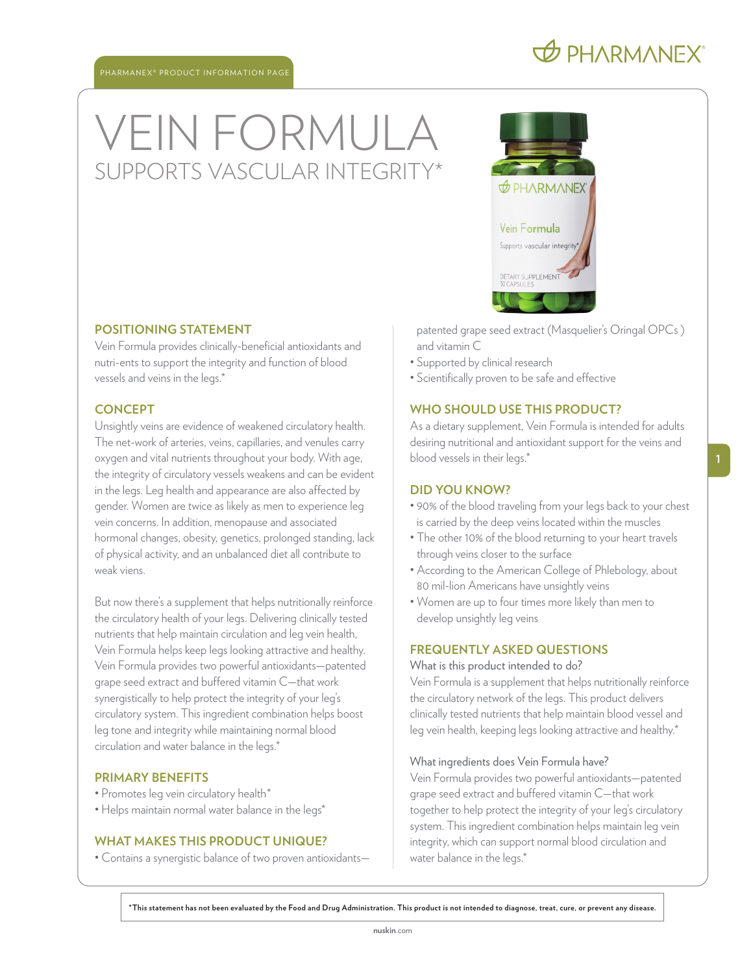## VEIN FORMULA SUPPORTS VASCULAR INTEGRIT

#### **POSITIONING STATEMENT**

Vein Formula provides clinically-beneficial antioxidants and nutri-ents to support the integrity and function of blood vessels and veins in the legs.\*

#### **CONCEPT**

Unsightly veins are evidence of weakened circulatory health. The net-work of arteries, veins, capillaries, and venules carry oxygen and vital nutrients throughout your body. With age, the integrity of circulatory vessels weakens and can be evident in the legs. Leg health and appearance are also affected by gender. Women are twice as likely as men to experience leg vein concerns. In addition, menopause and associated hormonal changes, obesity, genetics, prolonged standing, lack of physical activity, and an unbalanced diet all contribute to weak viens.

But now there's a supplement that helps nutritionally reinforce the circulatory health of your legs. Delivering clinically tested nutrients that help maintain circulation and leg vein health, Vein Formula helps keep legs looking attractive and healthy. Vein Formula provides two powerful antioxidants—patented grape seed extract and buffered vitamin C—that work synergistically to help protect the integrity of your leg's circulatory system. This ingredient combination helps boost leg tone and integrity while maintaining normal blood circulation and water balance in the legs.\*

#### **PRIMARY BENEFITS**

- Promotes leg vein circulatory health\*
- Helps maintain normal water balance in the legs\*

#### **WHAT MAKES THIS PRODUCT UNIQUE?**

• Contains a synergistic balance of two proven antioxidants—



patented grape seed extract (Masquelier's Oringal OPCs ) and vitamin C

- Supported by clinical research
- Scientifically proven to be safe and effective

#### **WHO SHOULD USE THIS PRODUCT?**

As a dietary supplement, Vein Formula is intended for adults desiring nutritional and antioxidant support for the veins and blood vessels in their legs.\*

#### **DID YOU KNOW?**

- 90% of the blood traveling from your legs back to your chest is carried by the deep veins located within the muscles
- The other 10% of the blood returning to your heart travels through veins closer to the surface
- According to the American College of Phlebology, about 80 mil-lion Americans have unsightly veins
- Women are up to four times more likely than men to develop unsightly leg veins

#### **FREQUENTLY ASKED QUESTIONS**

#### What is this product intended to do?

Vein Formula is a supplement that helps nutritionally reinforce the circulatory network of the legs. This product delivers clinically tested nutrients that help maintain blood vessel and leg vein health, keeping legs looking attractive and healthy.\*

#### What ingredients does Vein Formula have?

Vein Formula provides two powerful antioxidants—patented grape seed extract and buffered vitamin C—that work together to help protect the integrity of your leg's circulatory system. This ingredient combination helps maintain leg vein integrity, which can support normal blood circulation and water balance in the legs.<sup>\*</sup>

**\*This statement has not been evaluated by the Food and Drug Administration. This product is not intended to diagnose, treat, cure, or prevent any disease.**

### **O PHARMANEX**